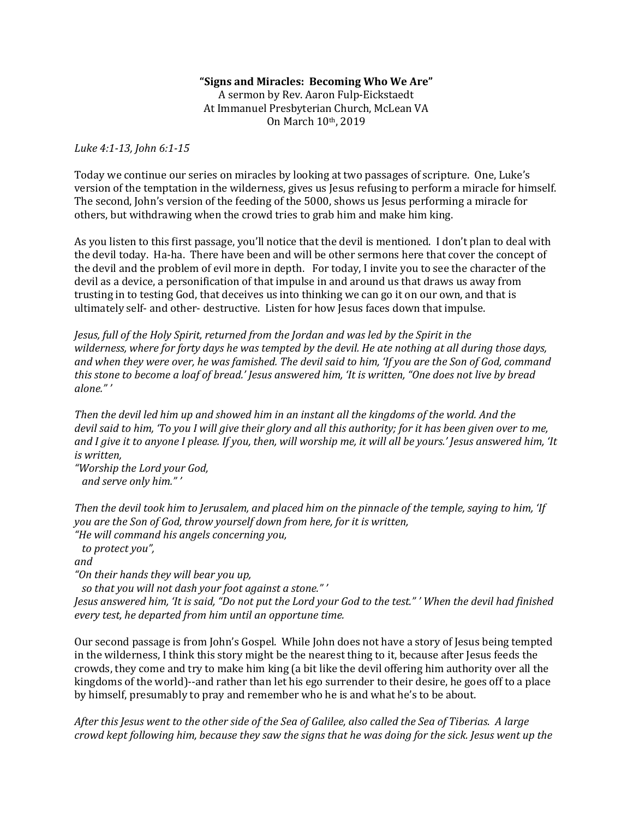## **"Signs and Miracles: Becoming Who We Are"**

A sermon by Rev. Aaron Fulp-Eickstaedt At Immanuel Presbyterian Church, McLean VA On March 10th, 2019

*Luke 4:1-13, John 6:1-15*

Today we continue our series on miracles by looking at two passages of scripture. One, Luke's version of the temptation in the wilderness, gives us Jesus refusing to perform a miracle for himself. The second, John's version of the feeding of the 5000, shows us Jesus performing a miracle for others, but withdrawing when the crowd tries to grab him and make him king.

As you listen to this first passage, you'll notice that the devil is mentioned. I don't plan to deal with the devil today. Ha-ha. There have been and will be other sermons here that cover the concept of the devil and the problem of evil more in depth. For today, I invite you to see the character of the devil as a device, a personification of that impulse in and around us that draws us away from trusting in to testing God, that deceives us into thinking we can go it on our own, and that is ultimately self- and other- destructive. Listen for how Jesus faces down that impulse.

*Jesus, full of the Holy Spirit, returned from the Jordan and was led by the Spirit in the wilderness, where for forty days he was tempted by the devil. He ate nothing at all during those days, and when they were over, he was famished. The devil said to him, 'If you are the Son of God, command this stone to become a loaf of bread.' Jesus answered him, 'It is written, "One does not live by bread alone." '*

*Then the devil led him up and showed him in an instant all the kingdoms of the world. And the devil said to him, 'To you I will give their glory and all this authority; for it has been given over to me, and I give it to anyone I please. If you, then, will worship me, it will all be yours.' Jesus answered him, 'It is written,* 

*"Worship the Lord your God, and serve only him." '*

*Then the devil took him to Jerusalem, and placed him on the pinnacle of the temple, saying to him, 'If you are the Son of God, throw yourself down from here, for it is written, "He will command his angels concerning you, to protect you", and "On their hands they will bear you up, so that you will not dash your foot against a stone." ' Jesus answered him, 'It is said, "Do not put the Lord your God to the test." ' When the devil had finished every test, he departed from him until an opportune time.* 

Our second passage is from John's Gospel. While John does not have a story of Jesus being tempted in the wilderness, I think this story might be the nearest thing to it, because after Jesus feeds the crowds, they come and try to make him king (a bit like the devil offering him authority over all the kingdoms of the world)--and rather than let his ego surrender to their desire, he goes off to a place by himself, presumably to pray and remember who he is and what he's to be about.

*After this Jesus went to the other side of the Sea of Galilee, also called the Sea of Tiberias. A large crowd kept following him, because they saw the signs that he was doing for the sick. Jesus went up the*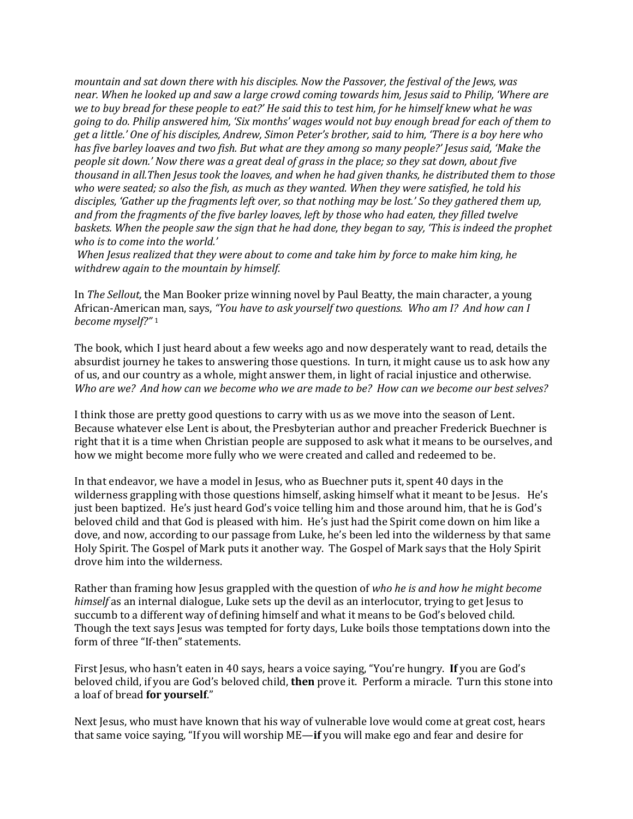*mountain and sat down there with his disciples. Now the Passover, the festival of the Jews, was near. When he looked up and saw a large crowd coming towards him, Jesus said to Philip, 'Where are we to buy bread for these people to eat?' He said this to test him, for he himself knew what he was going to do. Philip answered him, 'Six months' wages would not buy enough bread for each of them to get a little.' One of his disciples, Andrew, Simon Peter's brother, said to him, 'There is a boy here who has five barley loaves and two fish. But what are they among so many people?' Jesus said, 'Make the people sit down.' Now there was a great deal of grass in the place; so they sat down, about five thousand in all.Then Jesus took the loaves, and when he had given thanks, he distributed them to those who were seated; so also the fish, as much as they wanted. When they were satisfied, he told his disciples, 'Gather up the fragments left over, so that nothing may be lost.' So they gathered them up, and from the fragments of the five barley loaves, left by those who had eaten, they filled twelve baskets. When the people saw the sign that he had done, they began to say, 'This is indeed the prophet who is to come into the world.'*

 *When Jesus realized that they were about to come and take him by force to make him king, he withdrew again to the mountain by himself.* 

In *The Sellout,* the Man Booker prize winning novel by Paul Beatty, the main character, a young African-American man, says, *"You have to ask yourself two questions. Who am I? And how can I become myself?"* <sup>1</sup>

The book, which I just heard about a few weeks ago and now desperately want to read, details the absurdist journey he takes to answering those questions. In turn, it might cause us to ask how any of us, and our country as a whole, might answer them, in light of racial injustice and otherwise. *Who are we? And how can we become who we are made to be? How can we become our best selves?* 

I think those are pretty good questions to carry with us as we move into the season of Lent. Because whatever else Lent is about, the Presbyterian author and preacher Frederick Buechner is right that it is a time when Christian people are supposed to ask what it means to be ourselves, and how we might become more fully who we were created and called and redeemed to be.

In that endeavor, we have a model in Jesus, who as Buechner puts it, spent 40 days in the wilderness grappling with those questions himself, asking himself what it meant to be Jesus. He's just been baptized. He's just heard God's voice telling him and those around him, that he is God's beloved child and that God is pleased with him. He's just had the Spirit come down on him like a dove, and now, according to our passage from Luke, he's been led into the wilderness by that same Holy Spirit. The Gospel of Mark puts it another way. The Gospel of Mark says that the Holy Spirit drove him into the wilderness.

Rather than framing how Jesus grappled with the question of *who he is and how he might become himself* as an internal dialogue, Luke sets up the devil as an interlocutor, trying to get Jesus to succumb to a different way of defining himself and what it means to be God's beloved child. Though the text says Jesus was tempted for forty days, Luke boils those temptations down into the form of three "If-then" statements.

First Jesus, who hasn't eaten in 40 says, hears a voice saying, "You're hungry. **If** you are God's beloved child, if you are God's beloved child, **then** prove it. Perform a miracle. Turn this stone into a loaf of bread **for yourself**."

Next Jesus, who must have known that his way of vulnerable love would come at great cost, hears that same voice saying, "If you will worship ME—**if** you will make ego and fear and desire for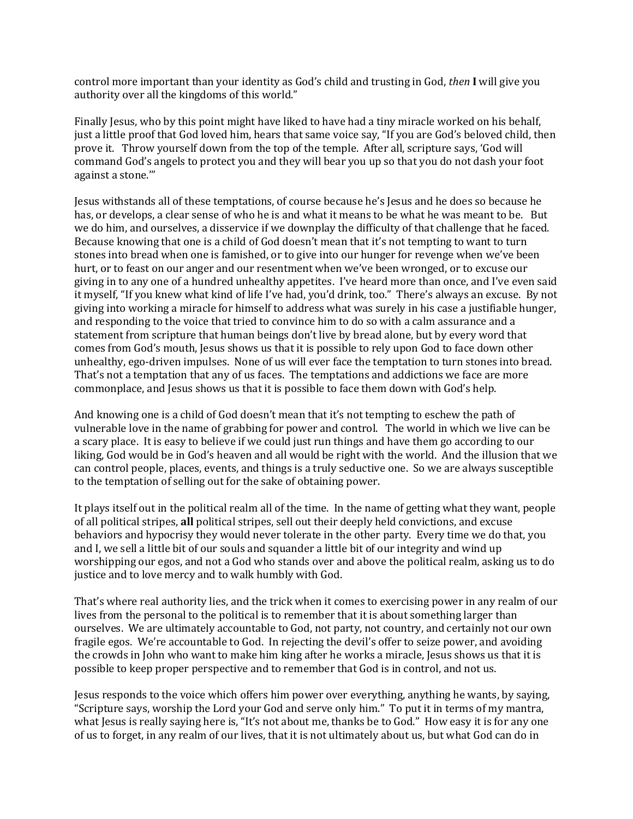control more important than your identity as God's child and trusting in God, *then* **I** will give you authority over all the kingdoms of this world."

Finally Jesus, who by this point might have liked to have had a tiny miracle worked on his behalf, just a little proof that God loved him, hears that same voice say, "If you are God's beloved child, then prove it. Throw yourself down from the top of the temple. After all, scripture says, 'God will command God's angels to protect you and they will bear you up so that you do not dash your foot against a stone.'"

Jesus withstands all of these temptations, of course because he's Jesus and he does so because he has, or develops, a clear sense of who he is and what it means to be what he was meant to be. But we do him, and ourselves, a disservice if we downplay the difficulty of that challenge that he faced. Because knowing that one is a child of God doesn't mean that it's not tempting to want to turn stones into bread when one is famished, or to give into our hunger for revenge when we've been hurt, or to feast on our anger and our resentment when we've been wronged, or to excuse our giving in to any one of a hundred unhealthy appetites. I've heard more than once, and I've even said it myself, "If you knew what kind of life I've had, you'd drink, too." There's always an excuse. By not giving into working a miracle for himself to address what was surely in his case a justifiable hunger, and responding to the voice that tried to convince him to do so with a calm assurance and a statement from scripture that human beings don't live by bread alone, but by every word that comes from God's mouth, Jesus shows us that it is possible to rely upon God to face down other unhealthy, ego-driven impulses. None of us will ever face the temptation to turn stones into bread. That's not a temptation that any of us faces. The temptations and addictions we face are more commonplace, and Jesus shows us that it is possible to face them down with God's help.

And knowing one is a child of God doesn't mean that it's not tempting to eschew the path of vulnerable love in the name of grabbing for power and control. The world in which we live can be a scary place. It is easy to believe if we could just run things and have them go according to our liking, God would be in God's heaven and all would be right with the world. And the illusion that we can control people, places, events, and things is a truly seductive one. So we are always susceptible to the temptation of selling out for the sake of obtaining power.

It plays itself out in the political realm all of the time. In the name of getting what they want, people of all political stripes, **all** political stripes, sell out their deeply held convictions, and excuse behaviors and hypocrisy they would never tolerate in the other party. Every time we do that, you and I, we sell a little bit of our souls and squander a little bit of our integrity and wind up worshipping our egos, and not a God who stands over and above the political realm, asking us to do justice and to love mercy and to walk humbly with God.

That's where real authority lies, and the trick when it comes to exercising power in any realm of our lives from the personal to the political is to remember that it is about something larger than ourselves. We are ultimately accountable to God, not party, not country, and certainly not our own fragile egos. We're accountable to God. In rejecting the devil's offer to seize power, and avoiding the crowds in John who want to make him king after he works a miracle, Jesus shows us that it is possible to keep proper perspective and to remember that God is in control, and not us.

Jesus responds to the voice which offers him power over everything, anything he wants, by saying, "Scripture says, worship the Lord your God and serve only him." To put it in terms of my mantra, what Jesus is really saying here is, "It's not about me, thanks be to God." How easy it is for any one of us to forget, in any realm of our lives, that it is not ultimately about us, but what God can do in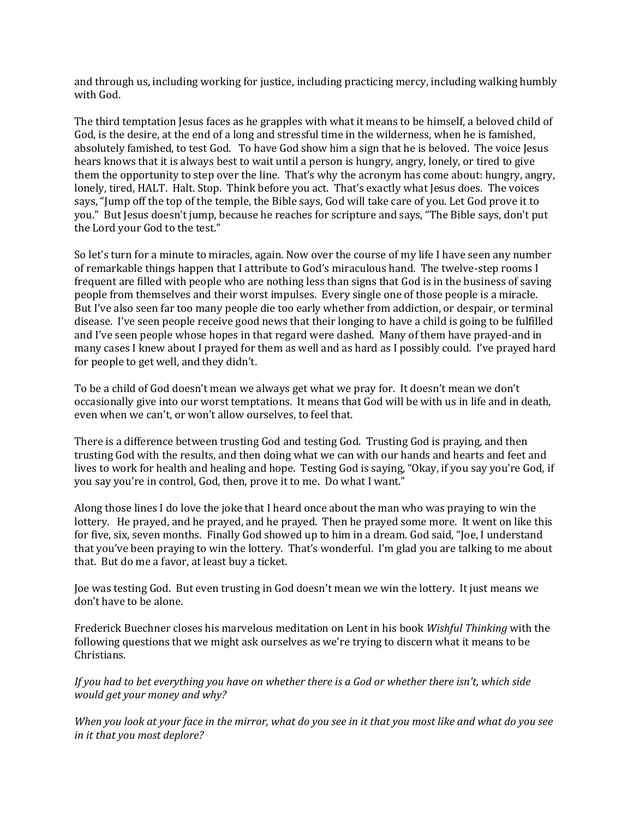and through us, including working for justice, including practicing mercy, including walking humbly with God.

The third temptation Jesus faces as he grapples with what it means to be himself, a beloved child of God, is the desire, at the end of a long and stressful time in the wilderness, when he is famished, absolutely famished, to test God. To have God show him a sign that he is beloved. The voice Jesus hears knows that it is always best to wait until a person is hungry, angry, lonely, or tired to give them the opportunity to step over the line. That's why the acronym has come about: hungry, angry, lonely, tired, HALT. Halt. Stop. Think before you act. That's exactly what Jesus does. The voices says, "Jump off the top of the temple, the Bible says, God will take care of you. Let God prove it to you." But Jesus doesn't jump, because he reaches for scripture and says, "The Bible says, don't put the Lord your God to the test."

So let's turn for a minute to miracles, again. Now over the course of my life I have seen any number of remarkable things happen that I attribute to God's miraculous hand. The twelve-step rooms I frequent are filled with people who are nothing less than signs that God is in the business of saving people from themselves and their worst impulses. Every single one of those people is a miracle. But I've also seen far too many people die too early whether from addiction, or despair, or terminal disease. I've seen people receive good news that their longing to have a child is going to be fulfilled and I've seen people whose hopes in that regard were dashed. Many of them have prayed-and in many cases I knew about I prayed for them as well and as hard as I possibly could. I've prayed hard for people to get well, and they didn't.

To be a child of God doesn't mean we always get what we pray for. It doesn't mean we don't occasionally give into our worst temptations. It means that God will be with us in life and in death, even when we can't, or won't allow ourselves, to feel that.

There is a difference between trusting God and testing God. Trusting God is praying, and then trusting God with the results, and then doing what we can with our hands and hearts and feet and lives to work for health and healing and hope. Testing God is saying, "Okay, if you say you're God, if you say you're in control, God, then, prove it to me. Do what I want."

Along those lines I do love the joke that I heard once about the man who was praying to win the lottery. He prayed, and he prayed, and he prayed. Then he prayed some more. It went on like this for five, six, seven months. Finally God showed up to him in a dream. God said, "Joe, I understand that you've been praying to win the lottery. That's wonderful. I'm glad you are talking to me about that. But do me a favor, at least buy a ticket.

Joe was testing God. But even trusting in God doesn't mean we win the lottery. It just means we don't have to be alone.

Frederick Buechner closes his marvelous meditation on Lent in his book *Wishful Thinking* with the following questions that we might ask ourselves as we're trying to discern what it means to be Christians.

*If you had to bet everything you have on whether there is a God or whether there isn't, which side would get your money and why?* 

*When you look at your face in the mirror, what do you see in it that you most like and what do you see in it that you most deplore?*